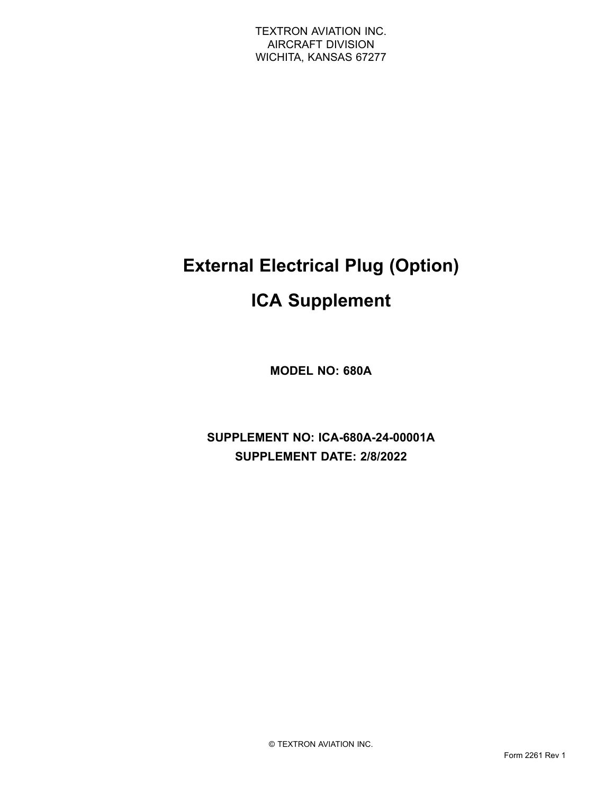# **External Electrical Plug (Option)**

# **ICA Supplement**

**MODEL NO: 680A**

**SUPPLEMENT NO: ICA-680A-24-00001A SUPPLEMENT DATE: 2/8/2022**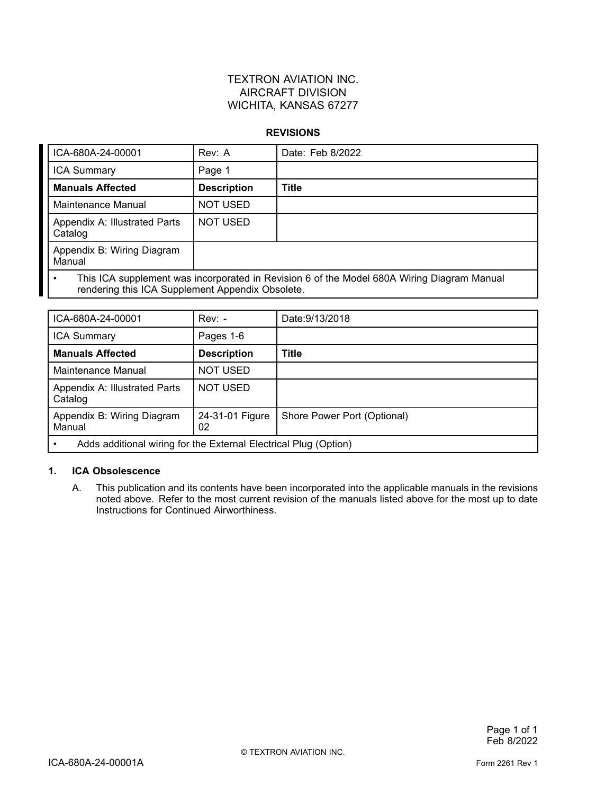### TEXTRON AVIATION INC. AIRCRAFT DIVISION WICHITA, KANSAS 67277

#### **REVISIONS**

| ICA-680A-24-00001                                                                                                                              | Rev: A             | Date: Feb 8/2022 |  |
|------------------------------------------------------------------------------------------------------------------------------------------------|--------------------|------------------|--|
| <b>ICA Summary</b>                                                                                                                             | Page 1             |                  |  |
| <b>Manuals Affected</b>                                                                                                                        | <b>Description</b> | <b>Title</b>     |  |
| Maintenance Manual                                                                                                                             | <b>NOT USED</b>    |                  |  |
| Appendix A: Illustrated Parts<br>Catalog                                                                                                       | <b>NOT USED</b>    |                  |  |
| Appendix B: Wiring Diagram<br>Manual                                                                                                           |                    |                  |  |
| This ICA supplement was incorporated in Revision 6 of the Model 680A Wiring Diagram Manual<br>rendering this ICA Supplement Appendix Obsolete. |                    |                  |  |

| ICA-680A-24-00001                                                | $Rev: -$              | Date: 9/13/2018             |  |
|------------------------------------------------------------------|-----------------------|-----------------------------|--|
| <b>ICA Summary</b>                                               | Pages 1-6             |                             |  |
| <b>Manuals Affected</b>                                          | <b>Description</b>    | <b>Title</b>                |  |
| Maintenance Manual                                               | <b>NOT USED</b>       |                             |  |
| Appendix A: Illustrated Parts<br>Catalog                         | <b>NOT USED</b>       |                             |  |
| Appendix B: Wiring Diagram<br>Manual                             | 24-31-01 Figure<br>02 | Shore Power Port (Optional) |  |
| Adds additional wiring for the External Electrical Plug (Option) |                       |                             |  |

#### **1. ICA Obsolescence**

A. This publication and its contents have been incorporated into the applicable manuals in the revisions noted above. Refer to the most current revision of the manuals listed above for the most up to date Instructions for Continued Airworthiness.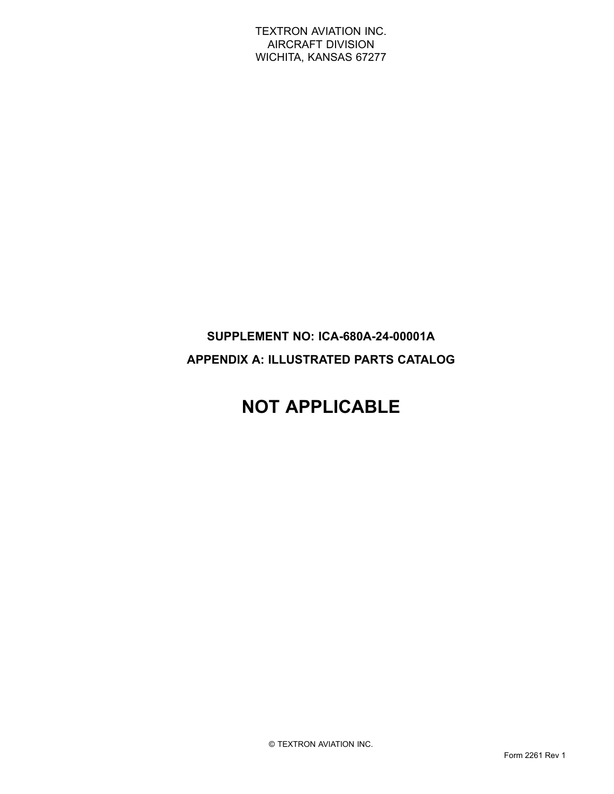TEXTRON AVIATION INC. AIRCRAFT DIVISION WICHITA, KANSAS 67277

## **SUPPLEMENT NO: ICA-680A-24-00001A APPENDIX A: ILLUSTRATED PARTS CATALOG**

# **NOT APPLICABLE**